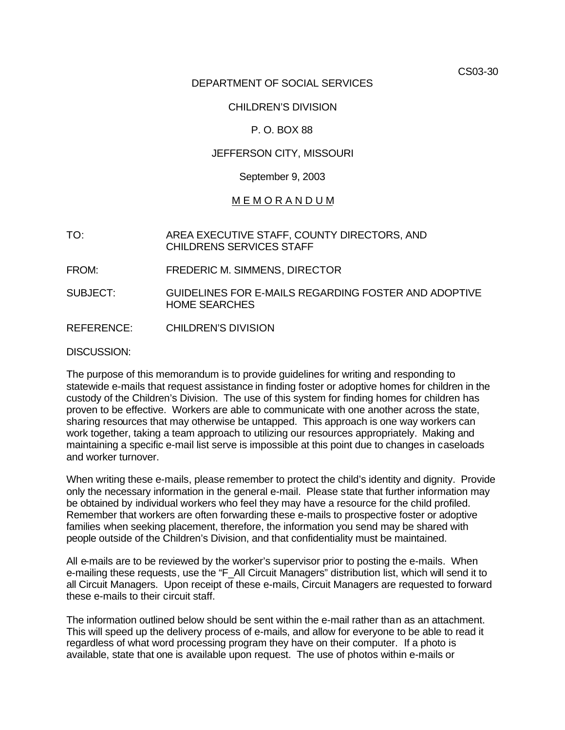CS03-30

## DEPARTMENT OF SOCIAL SERVICES

## CHILDREN'S DIVISION

## P. O. BOX 88

## JEFFERSON CITY, MISSOURI

#### September 9, 2003

## M E M O R A N D U M

- TO: AREA EXECUTIVE STAFF, COUNTY DIRECTORS, AND CHILDRENS SERVICES STAFF
- FROM: FREDERIC M. SIMMENS, DIRECTOR
- SUBJECT: GUIDELINES FOR E-MAILS REGARDING FOSTER AND ADOPTIVE HOME SEARCHES
- REFERENCE: CHILDREN'S DIVISION

DISCUSSION:

The purpose of this memorandum is to provide guidelines for writing and responding to statewide e-mails that request assistance in finding foster or adoptive homes for children in the custody of the Children's Division. The use of this system for finding homes for children has proven to be effective. Workers are able to communicate with one another across the state, sharing resources that may otherwise be untapped. This approach is one way workers can work together, taking a team approach to utilizing our resources appropriately. Making and maintaining a specific e-mail list serve is impossible at this point due to changes in caseloads and worker turnover.

When writing these e-mails, please remember to protect the child's identity and dignity. Provide only the necessary information in the general e-mail. Please state that further information may be obtained by individual workers who feel they may have a resource for the child profiled. Remember that workers are often forwarding these e-mails to prospective foster or adoptive families when seeking placement, therefore, the information you send may be shared with people outside of the Children's Division, and that confidentiality must be maintained.

All e-mails are to be reviewed by the worker's supervisor prior to posting the e-mails. When e-mailing these requests, use the "F\_All Circuit Managers" distribution list, which will send it to all Circuit Managers. Upon receipt of these e-mails, Circuit Managers are requested to forward these e-mails to their circuit staff.

The information outlined below should be sent within the e-mail rather than as an attachment. This will speed up the delivery process of e-mails, and allow for everyone to be able to read it regardless of what word processing program they have on their computer. If a photo is available, state that one is available upon request. The use of photos within e-mails or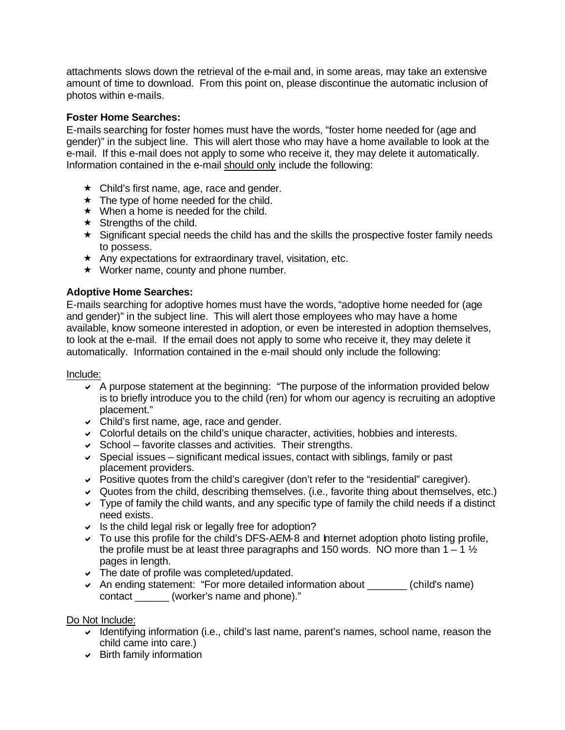attachments slows down the retrieval of the e-mail and, in some areas, may take an extensive amount of time to download. From this point on, please discontinue the automatic inclusion of photos within e-mails.

# **Foster Home Searches:**

E-mails searching for foster homes must have the words, "foster home needed for (age and gender)" in the subject line. This will alert those who may have a home available to look at the e-mail. If this e-mail does not apply to some who receive it, they may delete it automatically. Information contained in the e-mail should only include the following:

- $\star$  Child's first name, age, race and gender.
- $\star$  The type of home needed for the child.
- $\star$  When a home is needed for the child.
- $\star$  Strengths of the child.
- $\star$  Significant special needs the child has and the skills the prospective foster family needs to possess.
- $\star$  Any expectations for extraordinary travel, visitation, etc.
- $\star$  Worker name, county and phone number.

# **Adoptive Home Searches:**

E-mails searching for adoptive homes must have the words, "adoptive home needed for (age and gender)" in the subject line. This will alert those employees who may have a home available, know someone interested in adoption, or even be interested in adoption themselves, to look at the e-mail. If the email does not apply to some who receive it, they may delete it automatically. Information contained in the e-mail should only include the following:

#### Include:

- $\sim$  A purpose statement at the beginning: "The purpose of the information provided below is to briefly introduce you to the child (ren) for whom our agency is recruiting an adoptive placement."
- $\triangleright$  Child's first name, age, race and gender.
- $\triangledown$  Colorful details on the child's unique character, activities, hobbies and interests.
- $\triangleright$  School favorite classes and activities. Their strengths.
- $\overline{\phantom{a}}$  Special issues significant medical issues, contact with siblings, family or past placement providers.
- $\triangledown$  Positive quotes from the child's caregiver (don't refer to the "residential" caregiver).
- $\vee$  Quotes from the child, describing themselves. (i.e., favorite thing about themselves, etc.)
- $\vee$  Type of family the child wants, and any specific type of family the child needs if a distinct need exists.
- $\backsim$  Is the child legal risk or legally free for adoption?
- $\triangledown$  To use this profile for the child's DFS-AEM-8 and Internet adoption photo listing profile, the profile must be at least three paragraphs and 150 words. NO more than  $1 - 1 \frac{1}{2}$ pages in length.
- $\triangleright$  The date of profile was completed/updated.
- An ending statement: "For more detailed information about  $\Box$  (child's name) contact \_\_\_\_\_\_ (worker's name and phone)."

Do Not Include:

- $\vee$  Identifying information (i.e., child's last name, parent's names, school name, reason the child came into care.)
- $\triangleright$  Birth family information